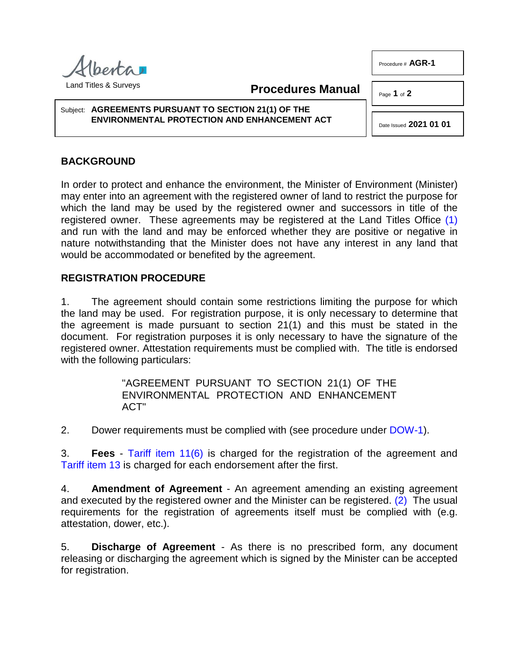perta Land Titles & Surveys

**Procedures Manual**

Page **1** of **2** 

Subject: **AGREEMENTS PURSUANT TO SECTION 21(1) OF THE ENVIRONMENTAL PROTECTION AND ENHANCEMENT ACT**

## **BACKGROUND**

In order to protect and enhance the environment, the Minister of Environment (Minister) may enter into an agreement with the registered owner of land to restrict the purpose for which the land may be used by the registered owner and successors in title of the registered owner. These agreements may be registered at the Land Titles Office [\(1\)](#page-1-0) and run with the land and may be enforced whether they are positive or negative in nature notwithstanding that the Minister does not have any interest in any land that would be accommodated or benefited by the agreement.

## **REGISTRATION PROCEDURE**

1. The agreement should contain some restrictions limiting the purpose for which the land may be used. For registration purpose, it is only necessary to determine that the agreement is made pursuant to section 21(1) and this must be stated in the document. For registration purposes it is only necessary to have the signature of the registered owner. Attestation requirements must be complied with. The title is endorsed with the following particulars:

> <span id="page-0-1"></span>"AGREEMENT PURSUANT TO SECTION 21(1) OF THE ENVIRONMENTAL PROTECTION AND ENHANCEMENT ACT"

2. Dower requirements must be complied with (see procedure under [DOW-1\)](http://www.servicealberta.ca/pdf/ltmanual/DOW-1.pdf).

3. **Fees** - [Tariff item 11\(6\)](http://www.servicealberta.ca/pdf/ltmanual/APPENDIXI.pdf) is charged for the registration of the agreement and [Tariff item 13](http://www.servicealberta.ca/pdf/ltmanual/APPENDIXI.pdf) is charged for each endorsement after the first.

4. **Amendment of Agreement** - An agreement amending an existing agreement and executed by the registered owner and the Minister can be registered. [\(2\)](#page-1-1) The usual requirements for the registration of agreements itself must be complied with (e.g. attestation, dower, etc.).

5. **Discharge of Agreement** - As there is no prescribed form, any document releasing or discharging the agreement which is signed by the Minister can be accepted for registration.

Procedure # **AGR-1**

<span id="page-0-0"></span>Date Issued **2021 01 01**